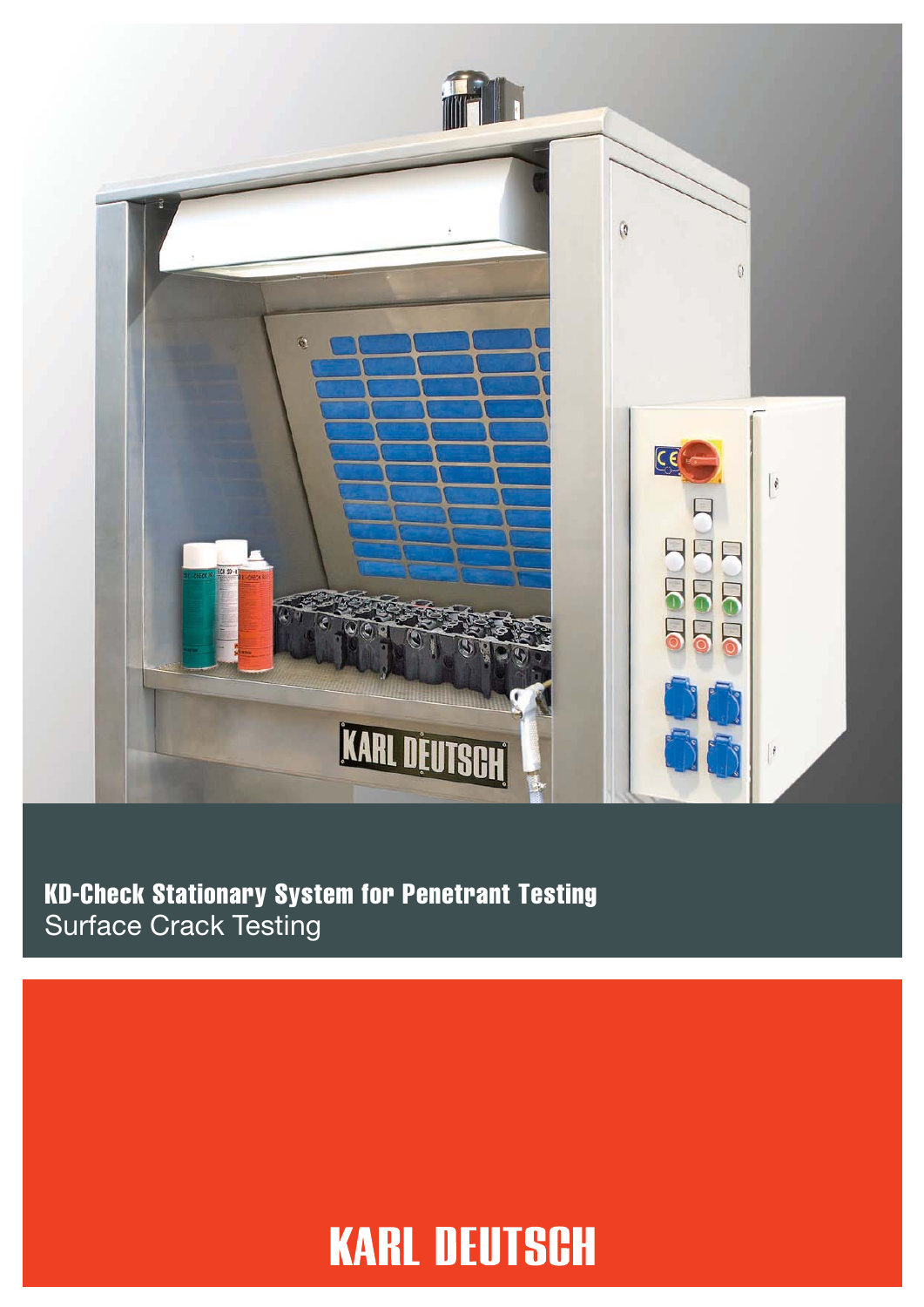

#### KD-Check Stationary System for Penetrant Testing Surface Crack Testing

## **KARL DEUTSCH**